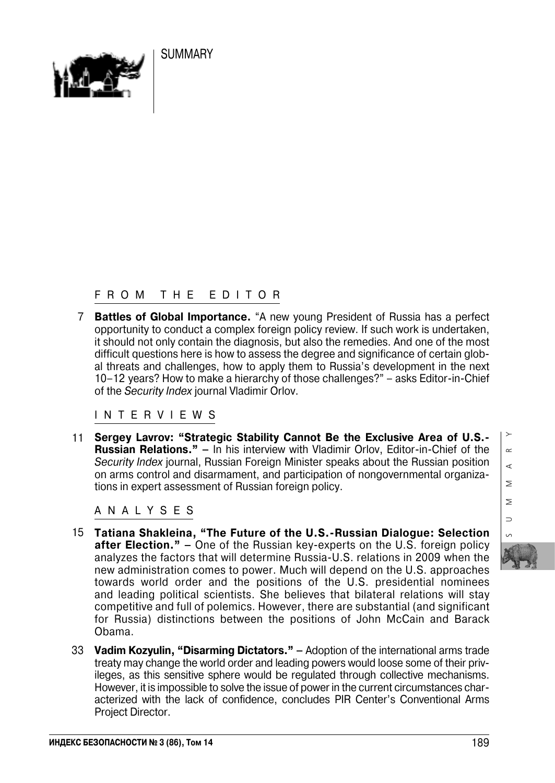**SUMMARY** 



## FROM THE EDITOR

7 **Battles of Global Importance.** "A new young President of Russia has a perfect opportunity to conduct a complex foreign policy review. If such work is undertaken, it should not only contain the diagnosis, but also the remedies. And one of the most difficult questions here is how to assess the degree and significance of certain glob al threats and challenges, how to apply them to Russia's development in the next 10–12 years? How to make a hierarchy of those challenges?" – asks Editor-in-Chief of the *Security Index* journal Vladimir Orlov.

INTERVIEWS

11 **Sergey Lavrov: "Strategic Stability Cannot Be the Exclusive Area of U.S. Russian Relations."** – In his interview with Vladimir Orlov, Editor-in-Chief of the *Security Index* journal, Russian Foreign Minister speaks about the Russian position on arms control and disarmament, and participation of nongovernmental organiza tions in expert assessment of Russian foreign policy.

ANALYSES

- 15 **Tatiana Shakleina, "The Future of the U.S.Russian Dialogue: Selection after Election." –** One of the Russian key-experts on the U.S. foreign policy analyzes the factors that will determine Russia-U.S. relations in 2009 when the new administration comes to power. Much will depend on the U.S. approaches towards world order and the positions of the U.S. presidential nominees and leading political scientists. She believes that bilateral relations will stay competitive and full of polemics. However, there are substantial (and significant for Russia) distinctions between the positions of John McCain and Barack Obama.
- 33 **Vadim Kozyulin, "Disarming Dictators."** Adoption of the international arms trade treaty may change the world order and leading powers would loose some of their priv ileges, as this sensitive sphere would be regulated through collective mechanisms. However, it is impossible to solve the issue of power in the current circumstances char acterized with the lack of confidence, concludes PIR Center's Conventional Arms Project Director.

SUMMARY  $\sim$  $\triangleleft$  $\geq$  $\geq$  $\Rightarrow$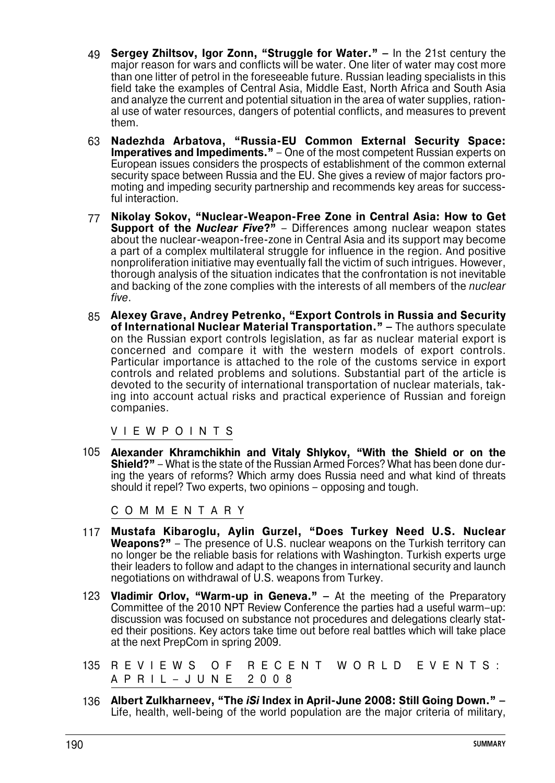- **Sergey Zhiltsov, Igor Zonn, "Struggle for Water."** In the 21st century the 49 major reason for wars and conflicts will be water. One liter of water may cost more than one litter of petrol in the foreseeable future. Russian leading specialists in this field take the examples of Central Asia, Middle East, North Africa and South Asia and analyze the current and potential situation in the area of water supplies, ration al use of water resources, dangers of potential conflicts, and measures to prevent them.
- **Nadezhda Arbatova, "RussiaEU Common External Security Space: Imperatives and Impediments."** – One of the most competent Russian experts on European issues considers the prospects of establishment of the common external security space between Russia and the EU. She gives a review of major factors pro moting and impeding security partnership and recommends key areas for successful interaction. 63
- 77 Nikolay Sokov, "Nuclear-Weapon-Free Zone in Central Asia: How to Get **Support of the** *Nuclear Five***?**" – Differences among nuclear weapon states about the nuclear-weapon-free-zone in Central Asia and its support may become a part of a complex multilateral struggle for influence in the region. And positive nonproliferation initiative may eventually fall the victim of such intrigues. However, thorough analysis of the situation indicates that the confrontation is not inevitable and backing of the zone complies with the interests of all members of the *nuclear five*.
- **Alexey Grave, Andrey Petrenko, "Export Controls in Russia and Security** 85 **of International Nuclear Material Transportation." –** The authors speculate on the Russian export controls legislation, as far as nuclear material export is concerned and compare it with the western models of export controls. Particular importance is attached to the role of the customs service in export controls and related problems and solutions. Substantial part of the article is devoted to the security of international transportation of nuclear materials, tak ing into account actual risks and practical experience of Russian and foreign companies.

VIEWPOINTS

**Alexander Khramchikhin and Vitaly Shlykov, "With the Shield or on the** 105 **Shield?"** – What is the state of the Russian Armed Forces? What has been done during the years of reforms? Which army does Russia need and what kind of threats should it repel? Two experts, two opinions – opposing and tough.

COMMENTARY

- **Mustafa Kibaroglu, Aylin Gurzel, "Does Turkey Need U.S. Nuclear** 117 **Weapons?"** – The presence of U.S. nuclear weapons on the Turkish territory can no longer be the reliable basis for relations with Washington. Turkish experts urge their leaders to follow and adapt to the changes in international security and launch negotiations on withdrawal of U.S. weapons from Turkey.
- 123 **Vladimir Orlov, "Warm-up in Geneva."** At the meeting of the Preparatory Committee of the 2010 NPT Review Conference the parties had a useful warm–up: discussion was focused on substance not procedures and delegations clearly stat ed their positions. Key actors take time out before real battles which will take place at the next PrepCom in spring 2009.
- OF RECENT WORLD EVENTS: APRIL–JUNE 2008 135 R E V I E W S
- 136 Albert Zulkharneev, "The *iSi* Index in April-June 2008: Still Going Down." -Life, health, well-being of the world population are the major criteria of military,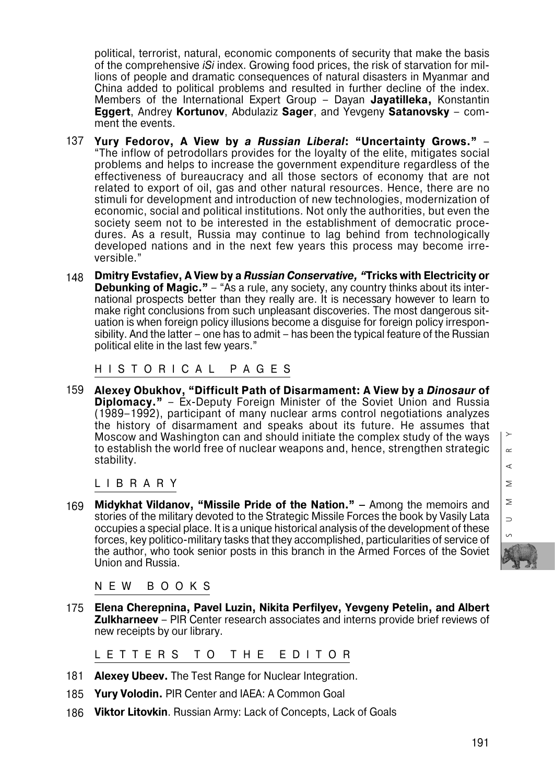political, terrorist, natural, economic components of security that make the basis of the comprehensive *iSi* index. Growing food prices, the risk of starvation for mil lions of people and dramatic consequences of natural disasters in Myanmar and China added to political problems and resulted in further decline of the index. Members of the International Expert Group – Dayan **Jayatilleka,** Konstantin **Eggert**, Andrey **Kortunov**, Abdulaziz **Sager**, and Yevgeny **Satanovsky** – com ment the events.

- 137 **Yury Fedorov, A View by** *a Russian Liberal***: "Uncertainty Grows."** – "The inflow of petrodollars provides for the loyalty of the elite, mitigates social problems and helps to increase the government expenditure regardless of the effectiveness of bureaucracy and all those sectors of economy that are not related to export of oil, gas and other natural resources. Hence, there are no stimuli for development and introduction of new technologies, modernization of economic, social and political institutions. Not only the authorities, but even the society seem not to be interested in the establishment of democratic proce dures. As a result, Russia may continue to lag behind from technologically developed nations and in the next few years this process may become irre versible."
- 148 **Dmitry Evstafiev, A View by a** *Russian Conservative, "***Tricks with Electricity or Debunking of Magic."** – "As a rule, any society, any country thinks about its inter national prospects better than they really are. It is necessary however to learn to make right conclusions from such unpleasant discoveries. The most dangerous sit uation is when foreign policy illusions become a disguise for foreign policy irrespon sibility. And the latter – one has to admit – has been the typical feature of the Russian political elite in the last few years."

HISTORICAL PAGES

159 **Alexey Obukhov, "Difficult Path of Disarmament: A View by a** *Dinosaur* **of Diplomacy."** – Ex-Deputy Foreign Minister of the Soviet Union and Russia (1989–1992), participant of many nuclear arms control negotiations analyzes the history of disarmament and speaks about its future. He assumes that Moscow and Washington can and should initiate the complex study of the ways to establish the world free of nuclear weapons and, hence, strengthen strategic stability.

LIBRARY

169 **Midykhat Vildanov, "Missile Pride of the Nation." –** Among the memoirs and stories of the military devoted to the Strategic Missile Forces the book by Vasily Lata occupies a special place. It is a unique historical analysis of the development of these forces, key politico-military tasks that they accomplished, particularities of service of the author, who took senior posts in this branch in the Armed Forces of the Soviet Union and Russia.

NEW BOOKS

175 **Elena Cherepnina, Pavel Luzin, Nikita Perfilyev, Yevgeny Petelin, and Albert Zulkharneev** – PIR Center research associates and interns provide brief reviews of new receipts by our library.

LETTERS TO THE EDITOR

- **Alexey Ubeev.** The Test Range for Nuclear Integration. 181
- **Yury Volodin.** PIR Center and IAEA: A Common Goal 185
- **Viktor Litovkin**. Russian Army: Lack of Concepts, Lack of Goals 186

 $\alpha$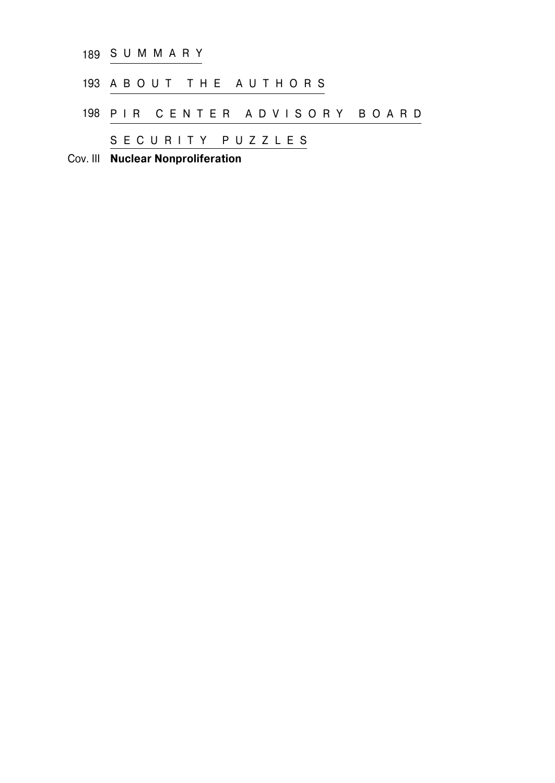| Cov. III Nuclear Nonproliferation |  |
|-----------------------------------|--|
| SECURITY PUZZLES                  |  |
| 198 PIR CENTER ADVISORY BOARD     |  |
| 193 A B O U T T H E A U T H O R S |  |
| 189 S U M M A R Y                 |  |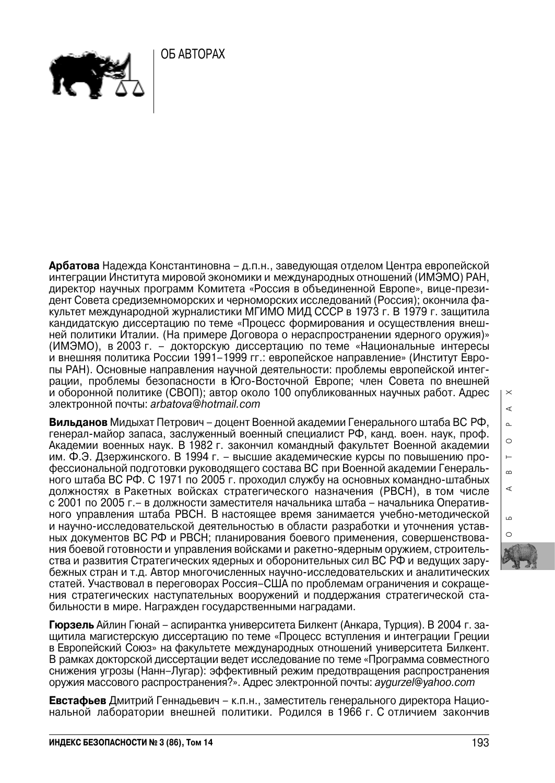ОБ АВТОРАХ



**Арбатова** Надежда Константиновна – д.п.н., заведующая отделом Центра европейской интеграции Института мировой экономики и международных отношений (ИМЭМО) РАН, директор научных программ Комитета «Россия в объединенной Европе», вице-прези дент Совета средиземноморских и черноморских исследований (Россия); окончила фа культет международной журналистики МГИМО МИД СССР в 1973 г. В 1979 г. защитила кандидатскую диссертацию по теме «Процесс формирования и осуществления внеш ней политики Италии. (На примере Договора о нераспространении ядерного оружия)» (ИМЭМО), в 2003 г. – докторскую диссертацию по теме «Национальные интересы и внешняя политика России 1991–1999 гг.: европейское направление» (Институт Евро пы РАН). Основные направления научной деятельности: проблемы европейской интег рации, проблемы безопасности в Юго-Восточной Европе; член Совета по внешней и оборонной политике (СВОП); автор около 100 опубликованных научных работ. Адрес электронной почты: *arbatova@hotmail.com*

**Вильданов** Мидыхат Петрович – доцент Военной академии Генерального штаба ВС РФ, генерал-майор запаса, заслуженный военный специалист РФ, канд. воен. наук, проф. Академии военных наук. В 1982 г. закончил командный факультет Военной академии им. Ф.Э. Дзержинского. В 1994 г. – высшие академические курсы по повышению про фессиональной подготовки руководящего состава ВС при Военной академии Генераль ного штаба ВС РФ. С 1971 по 2005 г. проходил службу на основных командно-штабных должностях в Ракетных войсках стратегического назначения (РВСН), в том числе с 2001 по 2005 г.– в должности заместителя начальника штаба – начальника Оперативного управления штаба РВСН. В настоящее время занимается учебно-методической и научно-исследовательской деятельностью в области разработки и уточнения устав ных документов ВС РФ и РВСН; планирования боевого применения, совершенствования боевой готовности и управления войсками и ракетно-ядерным оружием, строитель ства и развития Стратегических ядерных и оборонительных сил ВС РФ и ведущих зару бежных стран и т.д. Автор многочисленных научно-исследовательских и аналитических статей. Участвовал в переговорах Россия–США по проблемам ограничения и сокраще ния стратегических наступательных вооружений и поддержания стратегической ста бильности в мире. Награжден государственными наградами.

**Гюрзель** Айлин Гюнай – аспирантка университета Билкент (Анкара, Турция). В 2004 г. за щитила магистерскую диссертацию по теме «Процесс вступления и интеграции Греции в Европейский Союз» на факультете международных отношений университета Билкент. В рамках докторской диссертации ведет исследование по теме «Программа совместного снижения угрозы (Нанн–Лугар): эффективный режим предотвращения распространения оружия массового распространения?». Адрес электронной почты: *aygurzel@yahoo.com*

**Евстафьев** Дмитрий Геннадьевич – к.п.н., заместитель генерального директора Нацио нальной лаборатории внешней политики. Родился в 1966 г. С отличием закончив  $\times$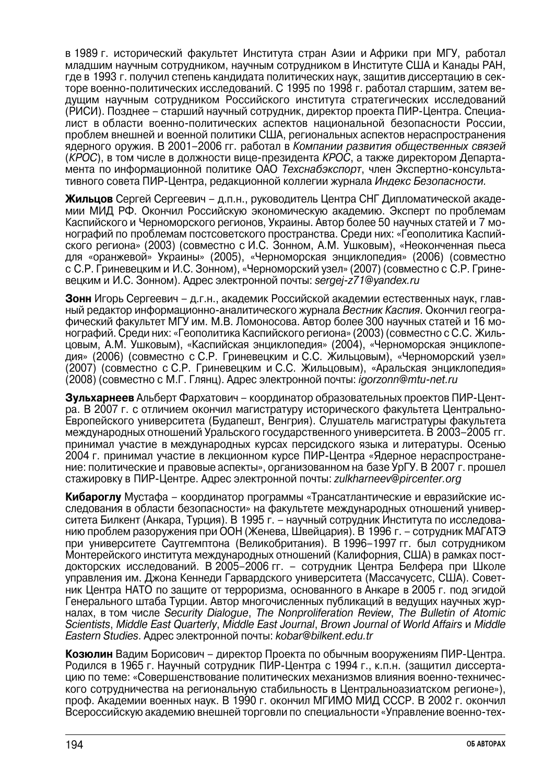в 1989 г. исторический факультет Института стран Азии и Африки при МГУ, работал младшим научным сотрудником, научным сотрудником в Институте США и Канады РАН, где в 1993 г. получил степень кандидата политических наук, защитив диссертацию в секторе военно-политических исследований. С 1995 по 1998 г. работал старшим, затем ве дущим научным сотрудником Российского института стратегических исследований (РИСИ). Позднее – старший научный сотрудник, директор проекта ПИР-Центра. Специалист в области военно-политических аспектов национальной безопасности России, проблем внешней и военной политики США, региональных аспектов нераспространения ядерного оружия. В 2001–2006 гг. работал в *Компании развития общественных связей* (*КРОС*), в том числе в должности вице-президента *КРОС*, а также директором Департа мента по информационной политике ОАО *Техснабэкспорт*, член Экспертно-консульта тивного совета ПИР-Центра, редакционной коллегии журнала *Индекс Безопасности.*

**Жильцов** Сергей Сергеевич – д.п.н., руководитель Центра СНГ Дипломатической академии МИД РФ. Окончил Российскую экономическую академию. Эксперт по проблемам Каспийского и Черноморского регионов, Украины. Автор более 50 научных статей и 7 мо нографий по проблемам постсоветского пространства. Среди них: «Геополитика Каспийского региона» (2003) (совместно с И.С. Зонном, А.М. Ушковым), «Неоконченная пьеса для «оранжевой» Украины» (2005), «Черноморская энциклопедия» (2006) (совместно с С.Р. Гриневецким и И.С. Зонном), «Черноморский узел» (2007) (совместно с С.Р. Грине вецким и И.С. Зонном). Адрес электронной почты: *sergei-z71@yandex.ru* 

**Зонн** Игорь Сергеевич – д.г.н., академик Российской академии естественных наук, главный редактор информационно-аналитического журнала *Вестник Каспия*. Окончил географический факультет МГУ им. М.В. Ломоносова. Автор более 300 научных статей и 16 мо нографий. Среди них: «Геополитика Каспийского региона» (2003) (совместно с С.С. Жильцовым, А.М. Ушковым), «Каспийская энциклопедия» (2004), «Черноморская энциклопе дия» (2006) (совместно с С.Р. Гриневецким и С.С. Жильцовым), «Черноморский узел» (2007) (совместно с С.Р. Гриневецким и С.С. Жильцовым), «Аральская энциклопедия» (2008) (совместно с М.Г. Глянц). Адрес электронной почты: *igorzonn@mtunet.ru*

**Зульхарнеев** Альберт Фархатович – координатор образовательных проектов ПИР-Цент ра. В 2007 г. с отличием окончил магистратуру исторического факультета Центрально- Европейского университета (Будапешт, Венгрия). Слушатель магистратуры факультета международных отношений Уральского государственного университета. В 2003–2005 гг. принимал участие в международных курсах персидского языка и литературы. Осенью 2004 г. принимал участие в лекционном курсе ПИР-Центра «Ядерное нераспростране ние: политические и правовые аспекты», организованном на базе УрГУ. В 2007 г. прошел стажировку в ПИР-Центре. Адрес электронной почты: *zulkharneev@pircenter.org*

**Кибароглу** Мустафа – координатор программы «Трансатлантические и евразийские ис следования в области безопасности» на факультете международных отношений универ ситета Билкент (Анкара, Турция). В 1995 г. – научный сотрудник Института по исследова нию проблем разоружения при ООН (Женева, Швейцария). В 1996 г. – сотрудник МАГАТЭ при университете Саутгемптона (Великобритания). В 1996–1997 гг. был сотрудником Монтерейского института международных отношений (Калифорния, США) в рамках пост докторских исследований. В 2005–2006 гг. – сотрудник Центра Белфера при Школе управления им. Джона Кеннеди Гарвардского университета (Массачусетс, США). Совет ник Центра НАТО по защите от терроризма, основанного в Анкаре в 2005 г. под эгидой Генерального штаба Турции. Автор многочисленных публикаций в ведущих научных жур налах, в том числе *Security Dialogue*, *The Nonproliferation Review*, *The Bulletin of Atomic Scientists*, *Middle East Quarterly*, *Middle East Journal*, *Brown Journal of World Affairs* и *Middle Eastern Studies*. Адрес электронной почты: *kobar@bilkent.edu.tr*

**Козюлин** Вадим Борисович – директор Проекта по обычным вооружениям ПИР-Центра. Родился в 1965 г. Научный сотрудник ПИР-Центра с 1994 г., к.п.н. (защитил диссерта цию по теме: «Совершенствование политических механизмов влияния военно-техничес кого сотрудничества на региональную стабильность в Центральноазиатском регионе»), проф. Академии военных наук. В 1990 г. окончил МГИМО МИД СССР. В 2002 г. окончил Всероссийскую академию внешней торговли по специальности «Управление военно-тех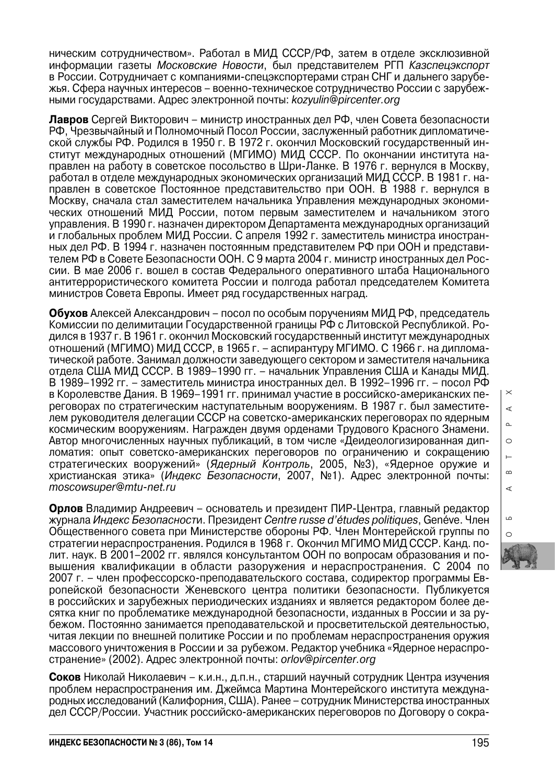ническим сотрудничеством». Работал в МИД СССР/РФ, затем в отделе эксклюзивной информации газеты *Московские Новости*, был представителем РГП *Казспецэкспорт* в России. Сотрудничает с компаниями-спецэкспортерами стран СНГ и дальнего зарубежья. Сфера научных интересов – военно-техническое сотрудничество России с зарубеж ными государствами. Адрес электронной почты: *kozyulin@pircenter.org*

**Лавров** Сергей Викторович – министр иностранных дел РФ, член Совета безопасности РФ, Чрезвычайный и Полномочный Посол России, заслуженный работник дипломатиче ской службы РФ. Родился в 1950 г. В 1972 г. окончил Московский государственный ин ститут международных отношений (МГИМО) МИД СССР. По окончании института на правлен на работу в советское посольство в Шри-Ланке. В 1976 г. вернулся в Москву, работал в отделе международных экономических организаций МИД СССР. В 1981 г. на правлен в советское Постоянное представительство при ООН. В 1988 г. вернулся в Москву, сначала стал заместителем начальника Управления международных экономических отношений МИД России, потом первым заместителем и начальником этого управления. В 1990 г. назначен директором Департамента международных организаций и глобальных проблем МИД России. С апреля 1992 г. заместитель министра иностран ных дел РФ. В 1994 г. назначен постоянным представителем РФ при ООН и представи телем РФ в Совете Безопасности ООН. С 9 марта 2004 г. министр иностранных дел Рос сии. В мае 2006 г. вошел в состав Федерального оперативного штаба Национального антитеррористического комитета России и полгода работал председателем Комитета министров Совета Европы. Имеет ряд государственных наград.

**Обухов** Алексей Александрович – посол по особым поручениям МИД РФ, председатель Комиссии по делимитации Государственной границы РФ с Литовской Республикой. Ро дился в 1937 г. В 1961 г. окончил Московский государственный институт международных отношений (МГИМО) МИД СССР, в 1965 г. – аспирантуру МГИМО. С 1966 г. на диплома тической работе. Занимал должности заведующего сектором и заместителя начальника отдела США МИД СССР. В 1989–1990 гг. – начальник Управления США и Канады МИД. В 1989–1992 гг. – заместитель министра иностранных дел. В 1992–1996 гг. – посол РФ в Королевстве Дания. В 1969–1991 гг. принимал участие в российско-американских пе реговорах по стратегическим наступательным вооружениям. В 1987 г. был заместите лем руководителя делегации СССР на советско-американских переговорах по ядерным космическим вооружениям. Награжден двумя орденами Трудового Красного Знамени. Автор многочисленных научных публикаций, в том числе «Деидеологизированная дипломатия: опыт советско-американских переговоров по ограничению и сокращению стратегических вооружений» (*Ядерный Контроль*, 2005, №3), «Ядерное оружие и христианская этика» (*Индекс Безопасности*, 2007, №1). Адрес электронной почты: *moscowsuper@mtu-net.ru* 

**Орлов** Владимир Андреевич – основатель и президент ПИР-Центра, главный редактор журнала *Индекс Безопасност*и. Президент *Centre russe d'*é*tudes politiques*, Genéve. Член Общественного совета при Министерстве обороны РФ. Член Монтерейской группы по стратегии нераспространения. Родился в 1968 г. Окончил МГИМО МИД СССР. Канд. по лит. наук. В 2001–2002 гг. являлся консультантом ООН по вопросам образования и по вышения квалификации в области разоружения и нераспространения. С 2004 по 2007 г. – член профессорско-преподавательского состава, содиректор программы Ев ропейской безопасности Женевского центра политики безопасности. Публикуется в российских и зарубежных периодических изданиях и является редактором более десятка книг по проблематике международной безопасности, изданных в России и за ру бежом. Постоянно занимается преподавательской и просветительской деятельностью, читая лекции по внешней политике России и по проблемам нераспространения оружия массового уничтожения в России и за рубежом. Редактор учебника «Ядерное нераспро странение» (2002). Адрес электронной почты: *orlov@pircenter.org*

**Соков** Николай Николаевич – к.и.н., д.п.н., старший научный сотрудник Центра изучения проблем нераспространения им. Джеймса Мартина Монтерейского института междуна родных исследований (Калифорния, США). Ранее – сотрудник Министерства иностранных дел СССР/России. Участник российско-американских переговоров по Договору о сокра $\times$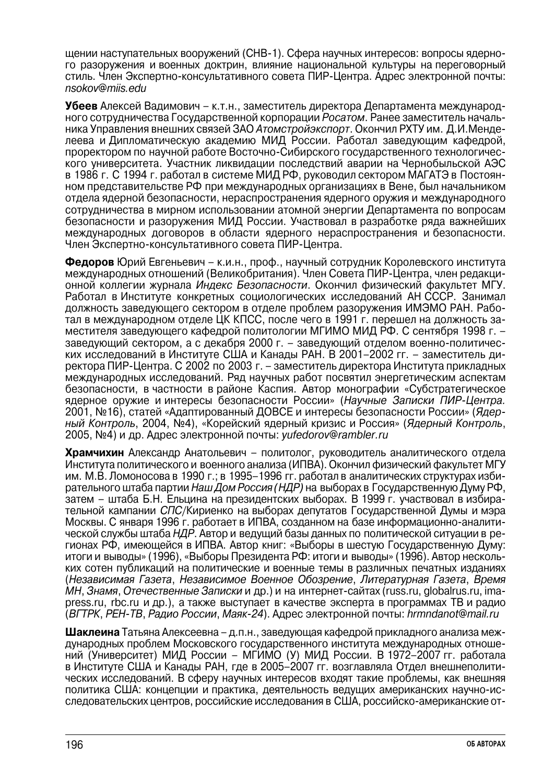щении наступательных вооружений (СНВ-1). Сфера научных интересов: вопросы ядерно го разоружения и военных доктрин, влияние национальной культуры на переговорный стиль. Член Экспертно-консультативного совета ПИР-Центра. Адрес электронной почты: *nsоkov@miis.edu*

**Убеев** Алексей Вадимович – к.т.н., заместитель директора Департамента международного сотрудничества Государственной корпорации *Росатом*. Ранее заместитель началь ника Управления внешних связей ЗАО *Атомстройэкспорт*. Окончил РХТУ им. Д.И.Менделеева и Дипломатическую академию МИД России. Работал заведующим кафедрой, проректором по научной работе Восточно-Сибирского государственного технологичес кого университета. Участник ликвидации последствий аварии на Чернобыльской АЭС в 1986 г. С 1994 г. работал в системе МИД РФ, руководил сектором МАГАТЭ в Постоян ном представительстве РФ при международных организациях в Вене, был начальником отдела ядерной безопасности, нераспространения ядерного оружия и международного сотрудничества в мирном использовании атомной энергии Департамента по вопросам безопасности и разоружения МИД России. Участвовал в разработке ряда важнейших международных договоров в области ядерного нераспространения и безопасности. Член Экспертно-консультативного совета ПИР-Центра.

**Федоров** Юрий Евгеньевич – к.и.н., проф., научный сотрудник Королевского института международных отношений (Великобритания). Член Совета ПИР-Центра, член редакци онной коллегии журнала *Индекс Безопасности*. Окончил физический факультет МГУ. Работал в Институте конкретных социологических исследований АН СССР. Занимал должность заведующего сектором в отделе проблем разоружения ИМЭМО РАН. Рабо тал в международном отделе ЦК КПСС, после чего в 1991 г. перешел на должность за местителя заведующего кафедрой политологии МГИМО МИД РФ. С сентября 1998 г. – заведующий сектором, а с декабря 2000 г. – заведующий отделом военно-политичес ких исследований в Институте США и Канады РАН. В 2001–2002 гг. – заместитель ди ректора ПИР-Центра. С 2002 по 2003 г. – заместитель директора Института прикладных международных исследований. Ряд научных работ посвятил энергетическим аспектам безопасности, в частности в районе Каспия. Автор монографии «Субстратегическое ядерное оружие и интересы безопасности России» (Научные Записки ПИР-Центра. 2001, №16), статей «Адаптированный ДОВСЕ и интересы безопасности России» (*Ядер ный Контроль*, 2004, №4), «Корейский ядерный кризис и Россия» (*Ядерный Контроль*, 2005, №4) и др. Адрес электронной почты: *yufedorov@rambler.ru*

**Храмчихин** Александр Анатольевич – политолог, руководитель аналитического отдела Института политического и военного анализа (ИПВА). Окончил физический факультет МГУ им. М.В. Ломоносова в 1990 г.; в 1995–1996 гг. работал в аналитических структурах изби рательного штаба партии *Наш Дом Россия (НДР)* на выборах в Государственную Думу РФ, затем – штаба Б.Н. Ельцина на президентских выборах. В 1999 г. участвовал в избира тельной кампании *СПС*/Кириенко на выборах депутатов Государственной Думы и мэра Москвы. С января 1996 г. работает в ИПВА, созданном на базе информационно-аналити ческой службы штаба *НДР*. Автор и ведущий базы данных по политической ситуации в ре гионах РФ, имеющейся в ИПВА. Автор книг: «Выборы в шестую Государственную Думу: итоги и выводы» (1996), «Выборы Президента РФ: итоги и выводы» (1996). Автор несколь ких сотен публикаций на политические и военные темы в различных печатных изданиях (*Независимая Газета*, *Независимое Военное Обозрение*, *Литературная Газета*, *Время МН*, *Знамя*, *Отечественные Записки* и др.) и на интернет-сайтах (russ.ru, globalrus.ru, ima press.ru, rbc.ru и др.), а также выступает в качестве эксперта в программах ТВ и радио (*ВГТРК*, *РЕНТВ*, *Радио России*, *Маяк24*). Адрес электронной почты: *hrmndanot@mail.ru*

**Шаклеина** Татьяна Алексеевна – д.п.н., заведующая кафедрой прикладного анализа меж дународных проблем Московского государственного института международных отноше ний (Университет) МИД России – МГИМО (У) МИД России. В 1972–2007 гг. работала в Институте США и Канады РАН, где в 2005–2007 гг. возглавляла Отдел внешнеполити ческих исследований. В сферу научных интересов входят такие проблемы, как внешняя политика США: концепции и практика, деятельность ведущих американских научно-ис следовательских центров, российские исследования в США, российско-американские от-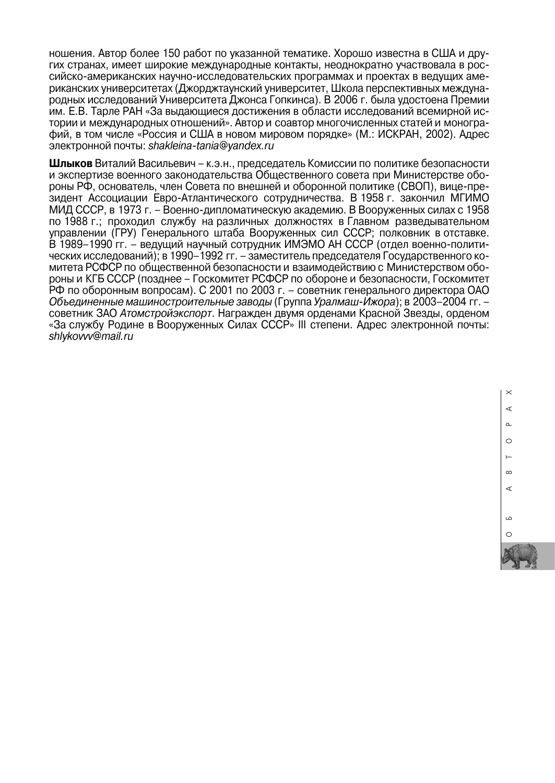ношения. Автор более 150 работ по указанной тематике. Хорошо известна в США и дру гих странах, имеет широкие международные контакты, неоднократно участвовала в российско-американских научно-исследовательских программах и проектах в ведущих аме риканских университетах (Джорджтаунский университет, Школа перспективных международных исследований Университета Джонса Гопкинса). В 2006 г. была удостоена Премии им. Е.В. Тарле РАН «За выдающиеся достижения в области исследований всемирной истории и международных отношений». Автор и соавтор многочисленных статей и моногра фий, в том числе «Россия и США в новом мировом порядке» (М.: ИСКРАН, 2002). Адрес электронной почты: *shakleinatania@yandex.ru*

**Шлыков** Виталий Васильевич – к.э.н., председатель Комиссии по политике безопасности и экспертизе военного законодательства Общественного совета при Министерстве обороны РФ, основатель, член Совета по внешней и оборонной политике (СВОП), вице-пре зидент Ассоциации Евро-Атлантического сотрудничества. В 1958 г. закончил МГИМО МИД СССР, в 1973 г. – Военно-дипломатическую академию. В Вооруженных силах с 1958 по 1988 г.; проходил службу на различных должностях в Главном разведывательном управлении (ГРУ) Генерального штаба Вооруженных сил СССР; полковник в отставке. В 1989–1990 гг. – ведущий научный сотрудник ИМЭМО АН СССР (отдел военно-полити ческих исследований); в 1990–1992 гг. – заместитель председателя Государственного ко митета РСФСР по общественной безопасности и взаимодействию с Министерством обо роны и КГБ СССР (позднее – Госкомитет РСФСР по обороне и безопасности, Госкомитет РФ по оборонным вопросам). С 2001 по 2003 г. – советник генерального директора ОАО *Объединенные машиностроительные заводы* (Группа Уралмаш-Ижора); в 2003–2004 гг. – советник ЗАО *Атомстройэкспорт*. Награжден двумя орденами Красной Звезды, орденом «За службу Родине в Вооруженных Силах СССР» III степени. Адрес электронной почты: *shlykovvv@mail.ru*

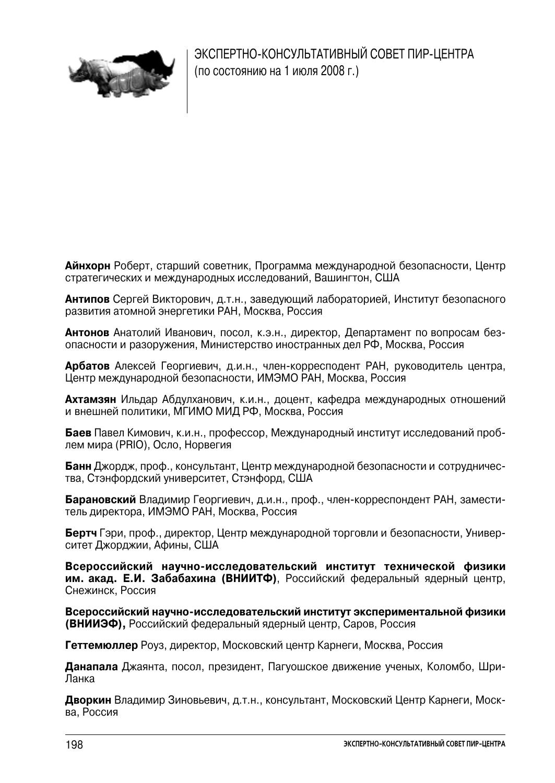

ЭКСПЕРТНО-КОНСУЛЬТАТИВНЫЙ СОВЕТ ПИР-ЦЕНТРА (по состоянию на 1 июля 2008 г.)

**Айнхорн** Роберт, старший советник, Программа международной безопасности, Центр стратегических и международных исследований, Вашингтон, США

**Антипов** Сергей Викторович, д.т.н., заведующий лабораторией, Институт безопасного развития атомной энергетики РАН, Москва, Россия

**Антонов** Анатолий Иванович, посол, к.э.н., директор, Департамент по вопросам без опасности и разоружения, Министерство иностранных дел РФ, Москва, Россия

**Арбатов** Алексей Георгиевич, д.и.н., член-корресподент РАН, руководитель центра, Центр международной безопасности, ИМЭМО РАН, Москва, Россия

**Ахтамзян** Ильдар Абдулханович, к.и.н., доцент, кафедра международных отношений и внешней политики, МГИМО МИД РФ, Москва, Россия

**Баев** Павел Кимович, к.и.н., профессор, Международный институт исследований проблем мира (PRIO), Осло, Норвегия

**Банн** Джордж, проф., консультант, Центр международной безопасности и сотрудничес тва, Стэнфордский университет, Стэнфорд, США

**Барановский** Владимир Георгиевич, д.и.н., проф., член-корреспондент РАН, замести тель директора, ИМЭМО РАН, Москва, Россия

**Бертч** Гэри, проф., директор, Центр международной торговли и безопасности, Универ ситет Джорджии, Афины, США

**Всероссийский научноисследовательский институт технической физики им. акад. Е.И. Забабахина (ВНИИТФ)**, Российский федеральный ядерный центр, Снежинск, Россия

Всероссийский научно-исследовательский институт экспериментальной физики **(ВНИИЭФ),** Российский федеральный ядерный центр, Саров, Россия

**Геттемюллер** Роуз, директор, Московский центр Карнеги, Москва, Россия

**Данапала** Джаянта, посол, президент, Пагуошское движение ученых, Коломбо, Шри- Ланка

**Дворкин** Владимир Зиновьевич, д.т.н., консультант, Московский Центр Карнеги, Моск ва, Россия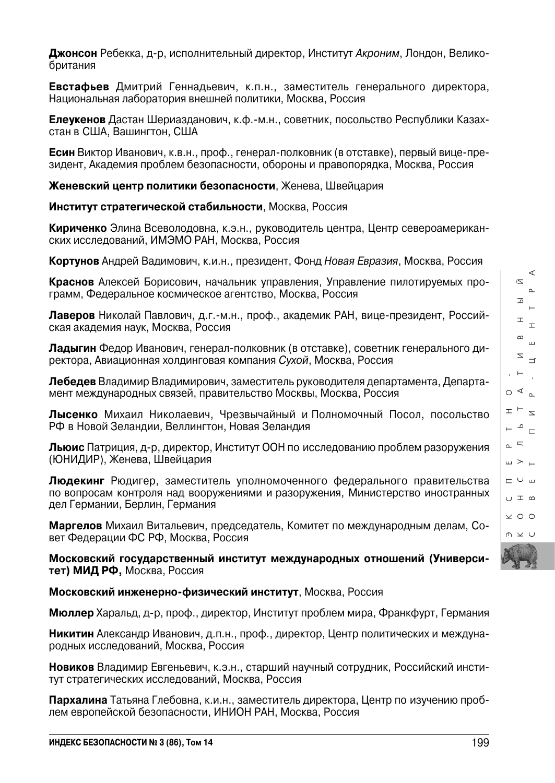⋖  $\geq$ 

**Джонсон** Ребекка, д-р, исполнительный директор, Институт *Акроним*, Лондон, Велико британия

**Евстафьев** Дмитрий Геннадьевич, к.п.н., заместитель генерального директора, Национальная лаборатория внешней политики, Москва, Россия

**Елеукенов** Дастан Шериазданович, к.ф.-м.н., cоветник, посольство Республики Казахстан в США, Вашингтон, США

**Есин** Виктор Иванович, к.в.н., проф., генерал-полковник (в отставке), первый вице-президент, Академия проблем безопасности, обороны и правопорядка, Москва, Россия

**Женевский центр политики безопасности**, Женева, Швейцария

**Институт стратегической стабильности**, Москва, Россия

**Кириченко** Элина Всеволодовна, к.э.н., руководитель центра, Центр североамерикан ских исследований, ИМЭМО РАН, Москва, Россия

**Кортунов** Андрей Вадимович, к.и.н., президент, Фонд *Новая Евразия*, Москва, Россия

**Краснов** Алексей Борисович, начальник управления, Управление пилотируемых про грамм, Федеральное космическое агентство, Москва, Россия

**Лаверов** Николай Павлович, д.г.-м.н., проф., академик РАН, вице-президент, Российская академия наук, Москва, Россия

**Ладыгин** Федор Иванович, генерал-полковник (в отставке), советник генерального директора, Авиационная холдинговая компания *Сухой*, Москва, Россия

**Лебедев** Владимир Владимирович, заместитель руководителя департамента, Департамент международных связей, правительство Москвы, Москва, Россия

**Лысенко** Михаил Николаевич, Чрезвычайный и Полномочный Посол, посольство РФ в Новой Зеландии, Веллингтон, Новая Зеландия

**Льюис** Патриция, д-р, директор, Институт ООН по исследованию проблем разоружения (ЮНИДИР), Женева, Швейцария

**Людекинг** Рюдигер, заместитель уполномоченного федерального правительства по вопросам контроля над вооружениями и разоружения, Министерство иностранных дел Германии, Берлин, Германия

**Маргелов** Михаил Витальевич, председатель, Комитет по международным делам, Со вет Федерации ФС РФ, Москва, Россия

**Московский государственный институт международных отношений (Универси тет) МИД РФ,** Москва, Россия

**Московский инженерно-физический институт**, Москва, Россия

**Мюллер** Харальд, д-р, проф., директор, Институт проблем мира, Франкфурт, Германия

**Никитин** Александр Иванович, д.п.н., проф., директор, Центр политических и междуна родных исследований, Москва, Россия

**Новиков** Владимир Евгеньевич, к.э.н., старший научный сотрудник, Российский инсти тут стратегических исследований, Москва, Россия

**Пархалина** Татьяна Глебовна, к.и.н., заместитель директора, Центр по изучению проб лем европейской безопасности, ИНИОН РАН, Москва, Россия